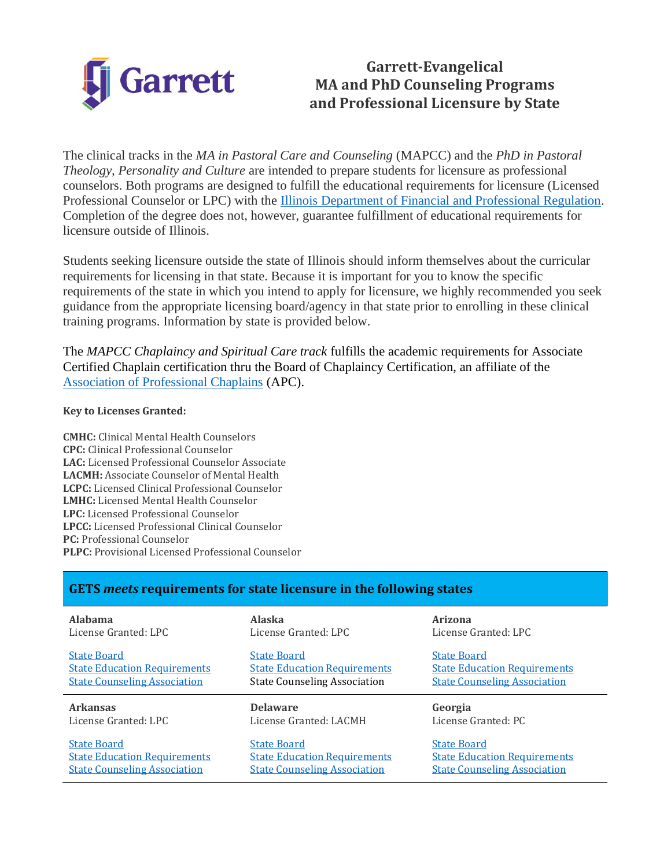

# **Garrett-Evangelical MA and PhD Counseling Programs and Professional Licensure by State**

The clinical tracks in the *MA in Pastoral Care and Counseling* (MAPCC) and the *PhD in Pastoral Theology, Personality and Culture* are intended to prepare students for licensure as professional counselors. Both programs are designed to fulfill the educational requirements for licensure (Licensed Professional Counselor or LPC) with the [Illinois Department of Financial and Professional Regulation.](https://www.idfpr.com/) Completion of the degree does not, however, guarantee fulfillment of educational requirements for licensure outside of Illinois.

Students seeking licensure outside the state of Illinois should inform themselves about the curricular requirements for licensing in that state. Because it is important for you to know the specific requirements of the state in which you intend to apply for licensure, we highly recommended you seek guidance from the appropriate licensing board/agency in that state prior to enrolling in these clinical training programs. Information by state is provided below.

The *MAPCC Chaplaincy and Spiritual Care track* fulfills the academic requirements for Associate Certified Chaplain certification thru the Board of Chaplaincy Certification, an affiliate of the [Association of Professional Chaplains](https://www.professionalchaplains.org/content.asp?pl=198&contentid=198) (APC).

#### **Key to Licenses Granted:**

**CMHC:** Clinical Mental Health Counselors **CPC:** Clinical Professional Counselor **LAC:** Licensed Professional Counselor Associate **LACMH:** Associate Counselor of Mental Health **LCPC:** Licensed Clinical Professional Counselor **LMHC:** Licensed Mental Health Counselor **LPC:** Licensed Professional Counselor **LPCC:** Licensed Professional Clinical Counselor **PC:** Professional Counselor **PLPC:** Provisional Licensed Professional Counselor

### **GETS** *meets* **requirements for state licensure in the following states**

| <b>Alahama</b>                      | <b>Alaska</b>                       | Arizona                             |
|-------------------------------------|-------------------------------------|-------------------------------------|
| License Granted: LPC                | License Granted: LPC                | License Granted: LPC                |
| <b>State Board</b>                  | <b>State Board</b>                  | <b>State Board</b>                  |
| <b>State Education Requirements</b> | <b>State Education Requirements</b> | <b>State Education Requirements</b> |
| <b>State Counseling Association</b> | <b>State Counseling Association</b> | <b>State Counseling Association</b> |
|                                     |                                     |                                     |
| <b>Arkansas</b>                     | <b>Delaware</b>                     | Georgia                             |
| License Granted: LPC                | License Granted: LACMH              | License Granted: PC                 |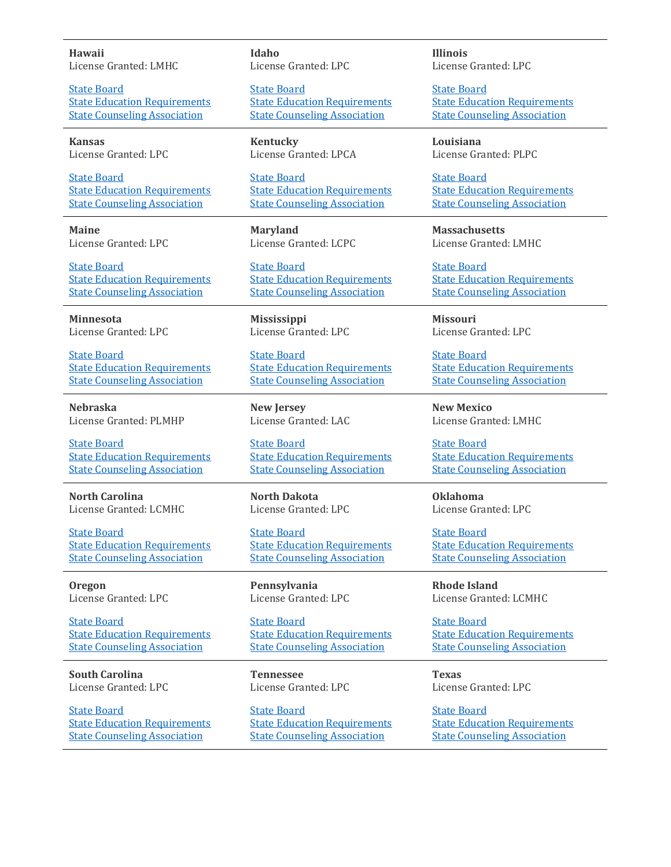**Hawaii** License Granted: LMHC

[State Board](https://cca.hawaii.gov/pvl/contact/) **[State Education Requirements](https://cca.hawaii.gov/pvl/files/2013/08/453D-MENTAL-HEALTH-COUNSELORS-111620.pdf)** [State Counseling Association](https://www.idahocounseling.org/)

**Kansas** License Granted: LPC

[State Board](https://ksbsrb.ks.gov/) [State Education Requirements](https://ksbsrb.ks.gov/docs/default-source/forms/professional-counselors/lpc_app_pkt.pdf?sfvrsn=f9fa8885_20) [State Counseling Association](https://kscounseling.org/)

**Maine** License Granted: LPC

[State Board](https://www.maine.gov/pfr/professionallicensing/professions/board-of-counseling-professionals-licensure) [State Education Requirements](https://view.officeapps.live.com/op/view.aspx?src=https%3A%2F%2Fwww.maine.gov%2Fsos%2Fcec%2Frules%2F02%2F514%2F514c-all.doc&wdOrigin=BROWSELINK) [State Counseling Association](https://www.maineca.org/Home/)

**Minnesota** License Granted: LPC

[State Board](https://mn.gov/boards/behavioral-health/licensees/license-renewal/lpc-renewal.jsp) [State Education Requirements](https://www.revisor.mn.gov/statutes/cite/148B.53) [State Counseling Association](https://mnca.org/)

**Nebraska** License Granted: PLMHP

[State Board](http://dhhs.ne.gov/licensure/Pages/Mental-Health-and-Social-Work-Practice.aspx) [State Education Requirements](https://www.nebraska.gov/rules-and-regs/regsearch/Rules/Health_and_Human_Services_System/Title-172/Chapter-094.pdf) [State Counseling Association](https://www.necounseling.org/)

**North Carolina** License Granted: LCMHC

[State Board](https://nccounselingassociation.org/) [State Education Requirements](https://www.ncblpc.org/Assets/LawsAndCodes/NCBLCMHC_Administrative_Rules(NCACTitle21Chapter53).pdf) [State Counseling Association](https://www.n2ca.org/i4a/pages/index.cfm?pageid=1)

**Oregon** License Granted: LPC

[State Board](http://www.oregon.gov/OBLPCT/pages/index.aspx) [State Education Requirements](https://www.oregon.gov/oblpct/Pages/LPC_Courses.aspx) [State Counseling Association](https://or-counseling.org/)

**South Carolina** License Granted: LPC

[State Board](https://llr.sc.gov/cou/) [State Education Requirements](https://llr.sc.gov/cou/LPC%20Course.aspx) [State Counseling Association](https://sccounselor.org/)

**Idaho** License Granted: LPC

[State Board](https://ibol.idaho.gov/IBOL/BoardPage.aspx?Bureau=COU) [State Education Requirements](https://adminrules.idaho.gov/rules/current/24/241501.pdf) [State Counseling Association](https://www.idahocounseling.org/)

**Kentucky** License Granted: LPCA

[State Board](https://lpc.ky.gov/) [State Education Requirements](https://apps.legislature.ky.gov/law/statutes/statute.aspx?id=31961) [State Counseling Association](https://www.kyca.org/)

**Maryland** License Granted: LCPC

[State Board](https://health.maryland.gov/bopc/Pages/index.aspx) [State Education Requirements](https://health.maryland.gov/bopc/pdfs/educationalrequirementinformationLCPCandLCPC.pdf) [State Counseling Association](https://www.mdcounseling.org/)

**Mississippi** License Granted: LPC

[State Board](https://www.lpc.ms.gov/wplpc/) [State Education Requirements](https://www.lpc.ms.gov/secure/pdf/Part_2201_Rules_and_Regulations_Current.pdf) [State Counseling Association](https://mica.memberclicks.net/)

**New Jersey** License Granted: LAC

[State Board](https://www.njconsumeraffairs.gov/pc) [State Education Requirements](https://www.njconsumeraffairs.gov/Statutes/professionalconselorexaminerscommitteelaw.pdf) [State Counseling Association](https://njcounseling.org/?option=com_docman&task=cat_view&gid=53&limit=5&limitstart=0&order=name&dir=DESC&Itemid=171)

**North Dakota** License Granted: LPC

[State Board](http://www.ndbce.org/licensing.shtml) **[State Education Requirements](http://www.ndbce.org/PDFs/ACADEMIC-REQUIREMENTS.pdf)** [State Counseling Association](https://www.ndcounseling.org/)

**Pennsylvania** License Granted: LPC

[State Board](Professional%20Counselor%20Licensure%20Requirements%20Snapshot%20(pa.gov)) [State Education Requirements](http://www.pacodeandbulletin.gov/Display/pacode?file=/secure/pacode/data/049/chapter49/s49.2.html&d=reduce) [State Counseling Association](http://pacounseling.org/aws/PACA/pt/sp/home_page)

**Tennessee** License Granted: LPC

[State Board](https://www.tn.gov/health/health-program-areas/health-professional-boards/pcmft-board.html) [State Education Requirements](https://publications.tnsosfiles.com/rules/0450/0450-01.20200402.pdf) [State Counseling Association](https://www.tcacounselors.org/)

**Illinois** License Granted: LPC

[State Board](State%20of%20Illinois%20|%20Department%20of%20Financial%20&%20Professional%20Regulation%20(idfpr.com)) [State Education Requirements](https://www.idfpr.com/renewals/apply/forms/pc.pdf) [State Counseling Association](https://www.imhca.org/Counselor-Licensure)

**Louisiana** License Granted: PLPC

[State Board](https://www.lpcboard.org/) [State Education Requirements](https://www.lpcboard.org/rules) [State Counseling Association](https://www.lacounseling.org/lca/default.asp)

**Massachusetts** License Granted: LMHC

[State Board](https://www.mass.gov/orgs/board-of-registration-of-allied-mental-health-and-human-services-professions) [State Education Requirements](https://www.mass.gov/policy-advisory/board-policies-and-guidelines-allied-mental-health#lmhc-course-policy-policy-07-01) [State Counseling Association](https://masca.wildapricot.org/)

**Missouri** License Granted: LPC

[State Board](https://pr.mo.gov/counselors.asp) [State Education Requirements](https://pr.mo.gov/boards/counselors/lpcslidesgeneralwebsite.pdf) [State Counseling Association](https://www.missouricounselors.org/)

**New Mexico** License Granted: LMHC

[State Board](http://www.rld.state.nm.us/boards/counseling_and_therapy_practice.aspx) [State Education Requirements](https://www.rld.nm.gov/wp-content/uploads/2021/09/16.27.2-Mental-Health-Core-Curriculum-Requirements.pdf) [State Counseling Association](https://nmca-nm.org/)

**Oklahoma** License Granted: LPC

[State Board](https://www.ok.gov/behavioralhealth/) **[State Education Requirements](https://www.ok.gov/behavioralhealth/ACADEMIC_REQUIREMENTS_-_LPC.html)** [State Counseling Association](https://www.oklahomacounseling.org/)

**Rhode Island** License Granted: LCMHC

[State Board](https://health.ri.gov/licenses/detail.php?id=228) [State Education Requirements](https://rules.sos.ri.gov/regulations/part/216-40-05-11) [State Counseling Association](http://www.rimhca.org/)

**Texas** License Granted: LPC

[State Board](https://www.bhec.texas.gov/texas-state-board-of-examiners-of-professional-counselors/applying-for-a-license/index.html) [State Education Requirements](https://www.bhec.texas.gov/wp-content/uploads/2021/12/LPC-November-20212.pdf) [State Counseling Association](http://www.txca.org/tmhca/)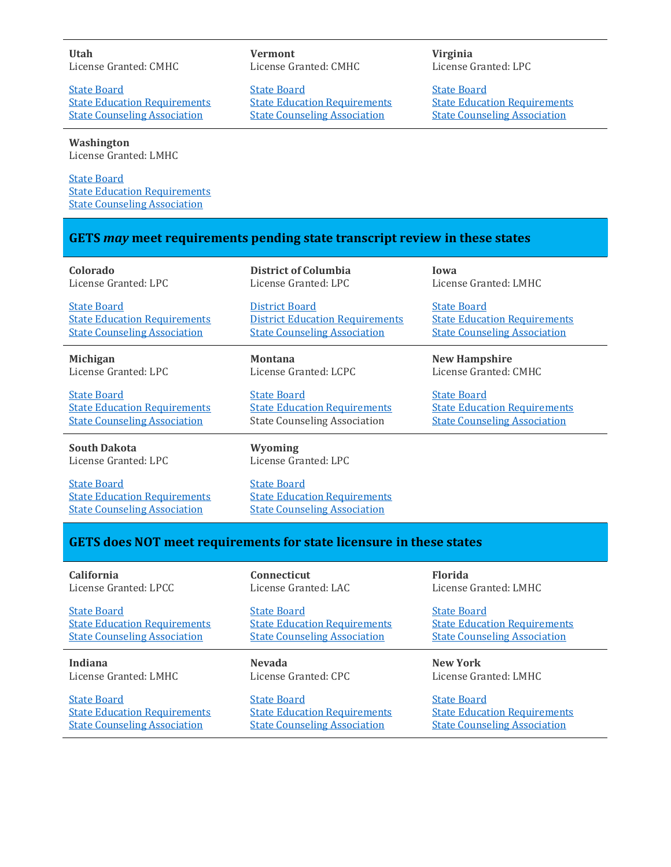#### **Utah** License Granted: CMHC

**[State Board](https://dopl.utah.gov/cmhc/)** [State Education Requirements](https://dopl.utah.gov/cmhc/cmhc_educational_requirements.pdf) [State Counseling Association](https://umhca.org/)

**Washington** License Granted: LMHC

[State Board](https://www.doh.wa.gov/LicensesPermitsandCertificates/ProfessionsNewReneworUpdate/CertifiedCounselor) **[State Education Requirements](https://www.doh.wa.gov/LicensesPermitsandCertificates/ProfessionsNewReneworUpdate/MentalHealthCounselor/LicenseRequirements#heading26723)** [State Counseling Association](https://wmhca.org/)

**Vermont** License Granted: CMHC

[State Board](https://sos.vermont.gov/allied-mental-health/) [State Education Requirements](https://cms.sec.state.vt.us:8443/share/s/ZoJDDSOJQQmm2k9Q931LxQ) [State Counseling Association](https://www.vtmhca.org/)

**Virginia** License Granted: LPC

[State Board](https://www.dhp.virginia.gov/counseling/) [State Education Requirements](https://view.officeapps.live.com/op/view.aspx?src=https%3A%2F%2Fwww.dhp.virginia.gov%2Fcounseling%2Fleg%2FLPC.docx&wdOrigin=BROWSELINK) [State Counseling Association](https://www.vcacounselors.org/?)

## **GETS** *may* **meet requirements pending state transcript review in these states**

| Colorado                                                                                         | District of Columbia                                                                             | Iowa                                |
|--------------------------------------------------------------------------------------------------|--------------------------------------------------------------------------------------------------|-------------------------------------|
| License Granted: LPC                                                                             | License Granted: LPC                                                                             | License Granted: LMHC               |
| <b>State Board</b>                                                                               | District Board                                                                                   | <b>State Board</b>                  |
| <b>State Education Requirements</b>                                                              | <b>District Education Requirements</b>                                                           | <b>State Education Requirements</b> |
| <b>State Counseling Association</b>                                                              | <b>State Counseling Association</b>                                                              | <b>State Counseling Association</b> |
| <b>Michigan</b>                                                                                  | <b>Montana</b>                                                                                   | <b>New Hampshire</b>                |
| License Granted: LPC                                                                             | License Granted: LCPC                                                                            | License Granted: CMHC               |
| <b>State Board</b>                                                                               | <b>State Board</b>                                                                               | <b>State Board</b>                  |
| <b>State Education Requirements</b>                                                              | <b>State Education Requirements</b>                                                              | <b>State Education Requirements</b> |
| <b>State Counseling Association</b>                                                              | <b>State Counseling Association</b>                                                              | <b>State Counseling Association</b> |
| <b>South Dakota</b><br>License Granted: LPC                                                      | Wyoming<br>License Granted: LPC                                                                  |                                     |
| <b>State Board</b><br><b>State Education Requirements</b><br><b>State Counseling Association</b> | <b>State Board</b><br><b>State Education Requirements</b><br><b>State Counseling Association</b> |                                     |

### **GETS does NOT meet requirements for state licensure in these states**

| California                          | <b>Connecticut</b>                  | <b>Florida</b>                      |
|-------------------------------------|-------------------------------------|-------------------------------------|
| License Granted: LPCC               | License Granted: LAC                | License Granted: LMHC               |
| <b>State Board</b>                  | <b>State Board</b>                  | <b>State Board</b>                  |
| <b>State Education Requirements</b> | <b>State Education Requirements</b> | <b>State Education Requirements</b> |
| <b>State Counseling Association</b> | <b>State Counseling Association</b> | <b>State Counseling Association</b> |
|                                     |                                     |                                     |
| Indiana                             | <b>Nevada</b>                       | <b>New York</b>                     |
| License Granted: LMHC               | License Granted: CPC                | License Granted: LMHC               |